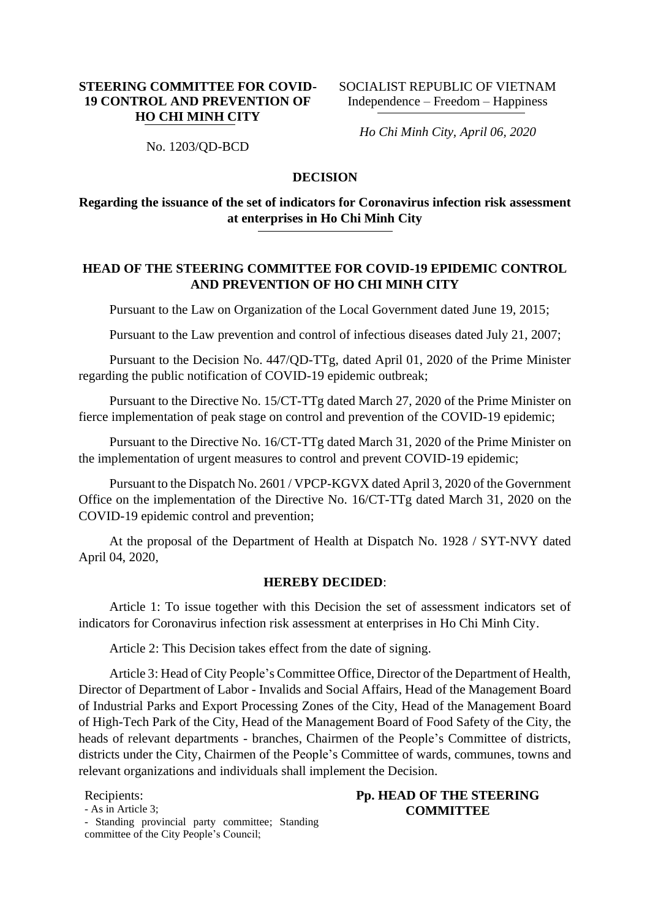## **STEERING COMMITTEE FOR COVID-19 CONTROL AND PREVENTION OF HO CHI MINH CITY**

SOCIALIST REPUBLIC OF VIETNAM Independence – Freedom – Happiness

*Ho Chi Minh City, April 06, 2020* 

No. 1203/QD-BCD

### **DECISION**

# **Regarding the issuance of the set of indicators for Coronavirus infection risk assessment at enterprises in Ho Chi Minh City**

## **HEAD OF THE STEERING COMMITTEE FOR COVID-19 EPIDEMIC CONTROL AND PREVENTION OF HO CHI MINH CITY**

Pursuant to the Law on Organization of the Local Government dated June 19, 2015;

Pursuant to the Law prevention and control of infectious diseases dated July 21, 2007;

Pursuant to the Decision No. 447/QD-TTg, dated April 01, 2020 of the Prime Minister regarding the public notification of COVID-19 epidemic outbreak;

Pursuant to the Directive No. 15/CT-TTg dated March 27, 2020 of the Prime Minister on fierce implementation of peak stage on control and prevention of the COVID-19 epidemic;

Pursuant to the Directive No. 16/CT-TTg dated March 31, 2020 of the Prime Minister on the implementation of urgent measures to control and prevent COVID-19 epidemic;

Pursuant to the Dispatch No. 2601 / VPCP-KGVX dated April 3, 2020 of the Government Office on the implementation of the Directive No. 16/CT-TTg dated March 31, 2020 on the COVID-19 epidemic control and prevention;

At the proposal of the Department of Health at Dispatch No. 1928 / SYT-NVY dated April 04, 2020,

#### **HEREBY DECIDED**:

Article 1: To issue together with this Decision the set of assessment indicators set of indicators for Coronavirus infection risk assessment at enterprises in Ho Chi Minh City.

Article 2: This Decision takes effect from the date of signing.

Article 3: Head of City People's Committee Office, Director of the Department of Health, Director of Department of Labor - Invalids and Social Affairs, Head of the Management Board of Industrial Parks and Export Processing Zones of the City, Head of the Management Board of High-Tech Park of the City, Head of the Management Board of Food Safety of the City, the heads of relevant departments - branches, Chairmen of the People's Committee of districts, districts under the City, Chairmen of the People's Committee of wards, communes, towns and relevant organizations and individuals shall implement the Decision.

Recipients:

- As in Article 3;

**Pp. HEAD OF THE STEERING COMMITTEE**

- Standing provincial party committee; Standing committee of the City People's Council;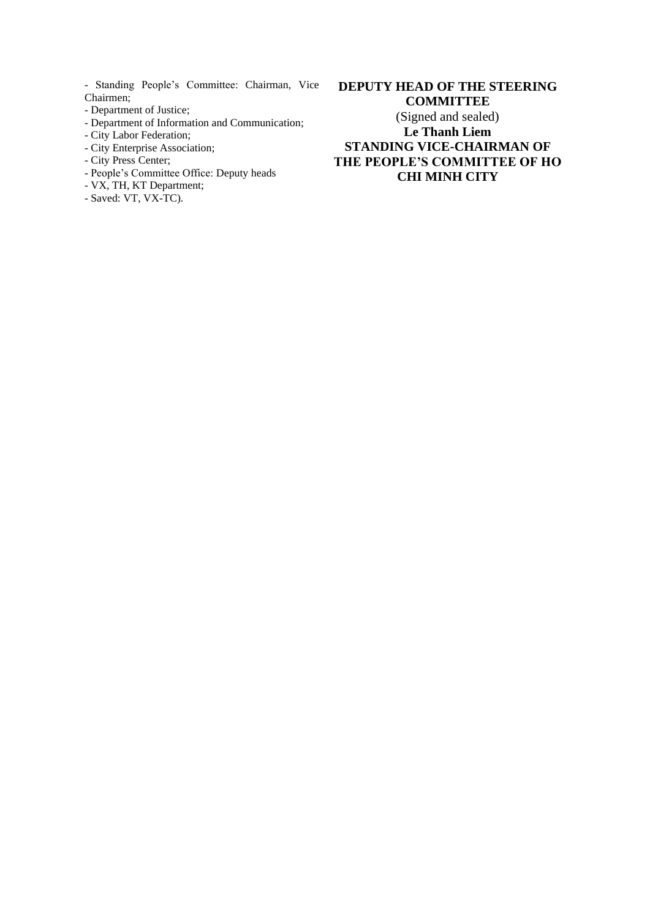- Standing People's Committee: Chairman, Vice Chairmen;

- Department of Justice;
- Department of Information and Communication;
- City Labor Federation;
- City Enterprise Association;
- City Press Center;
- People's Committee Office: Deputy heads
- VX, TH, KT Department;
- Saved: VT, VX-TC).

**DEPUTY HEAD OF THE STEERING COMMITTEE** (Signed and sealed) **Le Thanh Liem STANDING VICE-CHAIRMAN OF THE PEOPLE'S COMMITTEE OF HO CHI MINH CITY**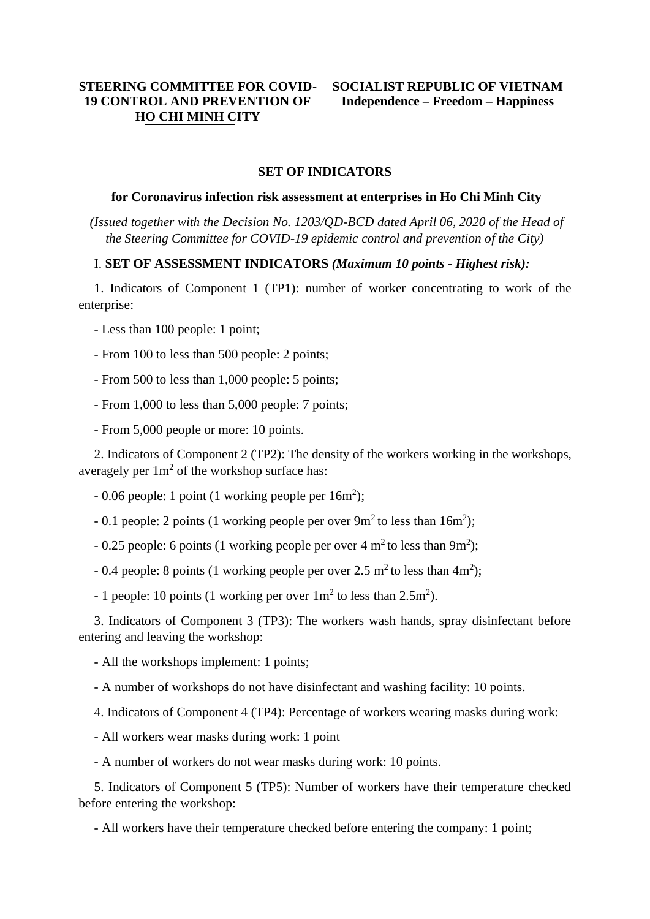## **STEERING COMMITTEE FOR COVID-19 CONTROL AND PREVENTION OF HO CHI MINH CITY**

#### **SET OF INDICATORS**

#### **for Coronavirus infection risk assessment at enterprises in Ho Chi Minh City**

*(Issued together with the Decision No. 1203/QD-BCD dated April 06, 2020 of the Head of the Steering Committee for COVID-19 epidemic control and prevention of the City)*

#### I. **SET OF ASSESSMENT INDICATORS** *(Maximum 10 points - Highest risk):*

1. Indicators of Component 1 (TP1): number of worker concentrating to work of the enterprise:

- Less than 100 people: 1 point;
- From 100 to less than 500 people: 2 points;
- From 500 to less than 1,000 people: 5 points;
- From 1,000 to less than 5,000 people: 7 points;
- From 5,000 people or more: 10 points.

2. Indicators of Component 2 (TP2): The density of the workers working in the workshops, averagely per  $1m^2$  of the workshop surface has:

- $-0.06$  people: 1 point (1 working people per  $16m^2$ );
- $-0.1$  people: 2 points (1 working people per over  $9m<sup>2</sup>$  to less than  $16m<sup>2</sup>$ );
- $-0.25$  people: 6 points (1 working people per over 4 m<sup>2</sup> to less than 9m<sup>2</sup>);
- $-0.4$  people: 8 points (1 working people per over 2.5 m<sup>2</sup> to less than 4m<sup>2</sup>);
- 1 people: 10 points (1 working per over  $1m^2$  to less than  $2.5m^2$ ).

3. Indicators of Component 3 (TP3): The workers wash hands, spray disinfectant before entering and leaving the workshop:

- All the workshops implement: 1 points;
- A number of workshops do not have disinfectant and washing facility: 10 points.
- 4. Indicators of Component 4 (TP4): Percentage of workers wearing masks during work:
- All workers wear masks during work: 1 point
- A number of workers do not wear masks during work: 10 points.

5. Indicators of Component 5 (TP5): Number of workers have their temperature checked before entering the workshop:

- All workers have their temperature checked before entering the company: 1 point;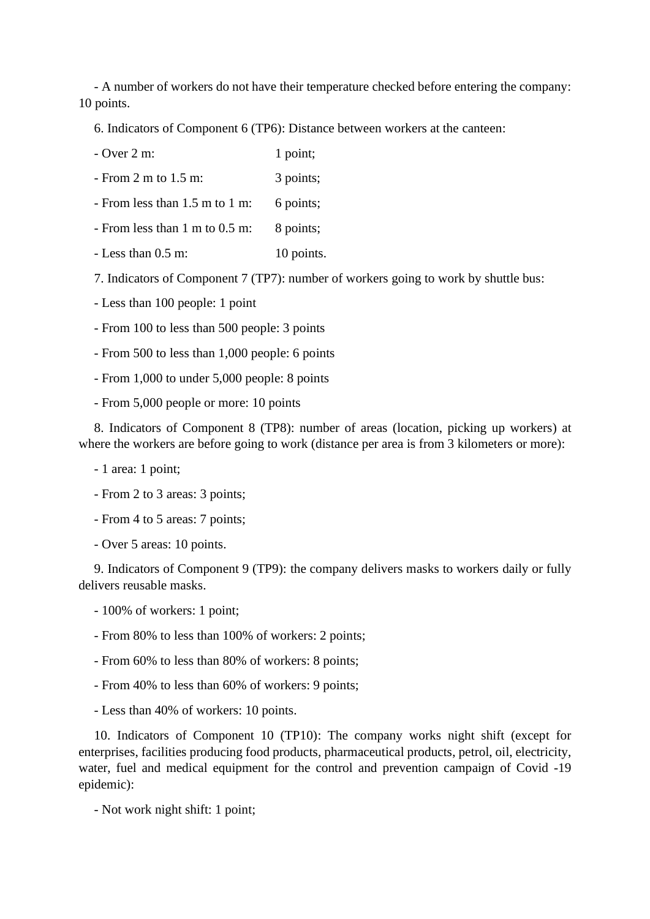- A number of workers do not have their temperature checked before entering the company: 10 points.

6. Indicators of Component 6 (TP6): Distance between workers at the canteen:

- $-$  Over  $2 \text{ m}$ : 1 point;
- From 2 m to 1.5 m: 3 points;
- From less than 1.5 m to 1 m: 6 points;
- From less than 1 m to 0.5 m: 8 points;
- Less than  $0.5$  m: 10 points.

7. Indicators of Component 7 (TP7): number of workers going to work by shuttle bus:

- Less than 100 people: 1 point
- From 100 to less than 500 people: 3 points
- From 500 to less than 1,000 people: 6 points
- From 1,000 to under 5,000 people: 8 points
- From 5,000 people or more: 10 points

8. Indicators of Component 8 (TP8): number of areas (location, picking up workers) at where the workers are before going to work (distance per area is from 3 kilometers or more):

- 1 area: 1 point;
- From 2 to 3 areas: 3 points;
- From 4 to 5 areas: 7 points;
- Over 5 areas: 10 points.

9. Indicators of Component 9 (TP9): the company delivers masks to workers daily or fully delivers reusable masks.

- 100% of workers: 1 point;
- From 80% to less than 100% of workers: 2 points;
- From 60% to less than 80% of workers: 8 points;
- From 40% to less than 60% of workers: 9 points;

- Less than 40% of workers: 10 points.

10. Indicators of Component 10 (TP10): The company works night shift (except for enterprises, facilities producing food products, pharmaceutical products, petrol, oil, electricity, water, fuel and medical equipment for the control and prevention campaign of Covid -19 epidemic):

- Not work night shift: 1 point;